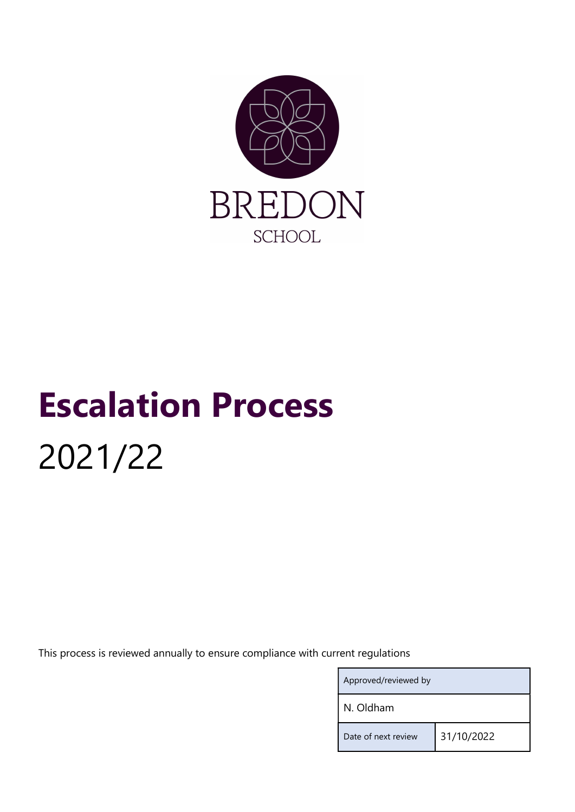

# Escalation Process 2021/22

This process is reviewed annually to ensure compliance with current regulations

| Approved/reviewed by |            |
|----------------------|------------|
| N. Oldham            |            |
| Date of next review  | 31/10/2022 |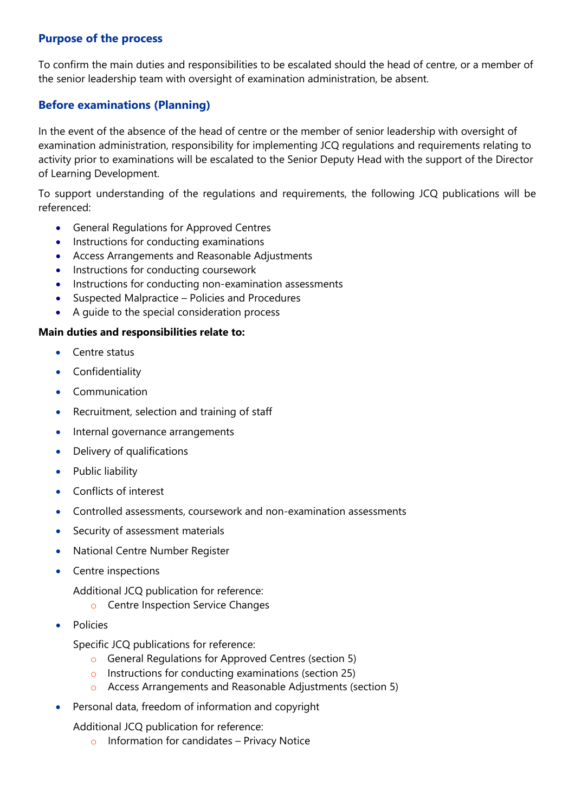#### Purpose of the process

To confirm the main duties and responsibilities to be escalated should the head of centre, or a member of the senior leadership team with oversight of examination administration, be absent.

## Before examinations (Planning)

In the event of the absence of the head of centre or the member of senior leadership with oversight of examination administration, responsibility for implementing JCQ regulations and requirements relating to activity prior to examinations will be escalated to the Senior Deputy Head with the support of the Director of Learning Development.

To support understanding of the regulations and requirements, the following JCQ publications will be referenced:

- General Regulations for Approved Centres
- Instructions for conducting examinations
- Access Arrangements and Reasonable Adjustments
- Instructions for conducting coursework
- Instructions for conducting non-examination assessments
- Suspected Malpractice Policies and Procedures
- A guide to the special consideration process

#### Main duties and responsibilities relate to:

- Centre status
- **•** Confidentiality
- Communication
- Recruitment, selection and training of staff
- Internal governance arrangements
- Delivery of qualifications
- Public liability
- Conflicts of interest
- Controlled assessments, coursework and non-examination assessments
- Security of assessment materials
- National Centre Number Register
- Centre inspections
	- Additional JCQ publication for reference:
		- o Centre Inspection Service Changes
- **•** Policies

Specific JCQ publications for reference:

- o General Regulations for Approved Centres (section 5)
- o Instructions for conducting examinations (section 25)
- o Access Arrangements and Reasonable Adjustments (section 5)
- Personal data, freedom of information and copyright
	- Additional JCQ publication for reference:
		- o Information for candidates Privacy Notice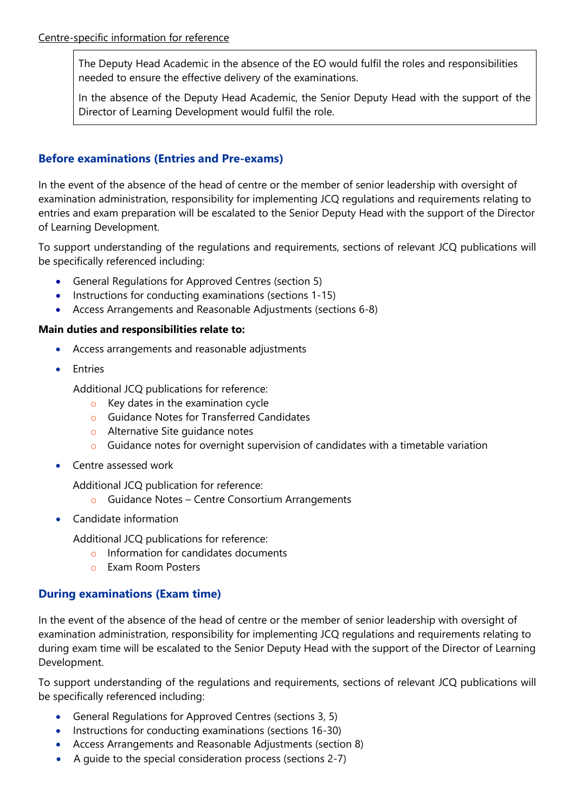The Deputy Head Academic in the absence of the EO would fulfil the roles and responsibilities needed to ensure the effective delivery of the examinations.

In the absence of the Deputy Head Academic, the Senior Deputy Head with the support of the Director of Learning Development would fulfil the role.

## Before examinations (Entries and Pre-exams)

In the event of the absence of the head of centre or the member of senior leadership with oversight of examination administration, responsibility for implementing JCQ regulations and requirements relating to entries and exam preparation will be escalated to the Senior Deputy Head with the support of the Director of Learning Development.

To support understanding of the regulations and requirements, sections of relevant JCQ publications will be specifically referenced including:

- General Regulations for Approved Centres (section 5)
- Instructions for conducting examinations (sections 1-15)
- Access Arrangements and Reasonable Adjustments (sections 6-8)

### Main duties and responsibilities relate to:

- Access arrangements and reasonable adjustments
- Entries

Additional JCQ publications for reference:

- $\circ$  Key dates in the examination cycle
- o Guidance Notes for Transferred Candidates
- o Alternative Site guidance notes
- o Guidance notes for overnight supervision of candidates with a timetable variation
- Centre assessed work

Additional JCQ publication for reference:

- o Guidance Notes Centre Consortium Arrangements
- Candidate information

Additional JCQ publications for reference:

- o Information for candidates documents
- o Exam Room Posters

## During examinations (Exam time)

In the event of the absence of the head of centre or the member of senior leadership with oversight of examination administration, responsibility for implementing JCQ regulations and requirements relating to during exam time will be escalated to the Senior Deputy Head with the support of the Director of Learning Development.

To support understanding of the regulations and requirements, sections of relevant JCQ publications will be specifically referenced including:

- General Regulations for Approved Centres (sections 3, 5)
- Instructions for conducting examinations (sections 16-30)
- Access Arrangements and Reasonable Adjustments (section 8)
- A guide to the special consideration process (sections 2-7)